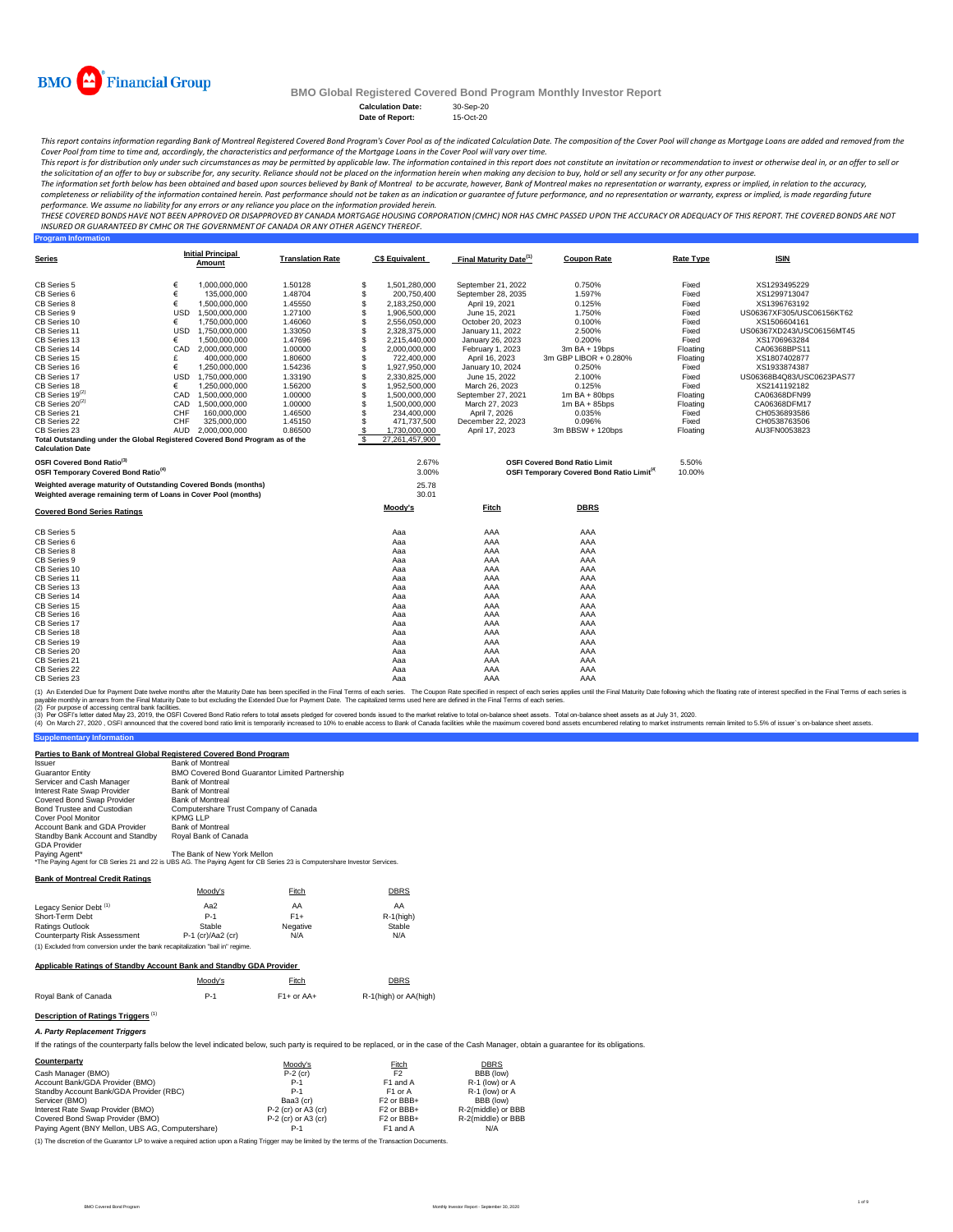| <b>Calculation Date:</b> | 30-Sep-20 |
|--------------------------|-----------|
| Date of Report:          | 15-Oct-20 |

### **Program Information**

| <b>Covered Bond Series Ratings</b> | Moody's | <b>Fitch</b> | <b>DBRS</b> |  |
|------------------------------------|---------|--------------|-------------|--|
| <b>CB Series 5</b>                 | Aaa     | <b>AAA</b>   | <b>AAA</b>  |  |
| <b>CB Series 6</b>                 | Aaa     | <b>AAA</b>   | <b>AAA</b>  |  |
| <b>CB Series 8</b>                 | Aaa     | AAA          | AAA         |  |
| <b>CB Series 9</b>                 | Aaa     | AAA          | AAA         |  |
| CB Series 10                       | Aaa     | AAA          | <b>AAA</b>  |  |
| <b>CB Series 11</b>                | Aaa     | AAA          | AAA         |  |
| CB Series 13                       | Aaa     | AAA          | AAA         |  |
| <b>CB Series 14</b>                | Aaa     | AAA          | <b>AAA</b>  |  |
| <b>CB Series 15</b>                | Aaa     | AAA          | <b>AAA</b>  |  |
| <b>CB Series 16</b>                | Aaa     | AAA          | AAA         |  |
| <b>CB Series 17</b>                | Aaa     | AAA          | <b>AAA</b>  |  |
| <b>CB Series 18</b>                | Aaa     | AAA          | <b>AAA</b>  |  |
| <b>CB Series 19</b>                | Aaa     | <b>AAA</b>   | <b>AAA</b>  |  |
| <b>CB Series 20</b>                | Aaa     | <b>AAA</b>   | <b>AAA</b>  |  |
| <b>CB Series 21</b>                | Aaa     | AAA          | <b>AAA</b>  |  |
| <b>CB Series 22</b>                | Aaa     | AAA          | <b>AAA</b>  |  |
| <b>CB Series 23</b>                | Aaa     | AAA          | <b>AAA</b>  |  |

(1) An Extended Due for Payment Date twelve months after the Maturity Date has been specified in the Final Terms of each series. The Coupon Rate specified in respect of each series applies until the Final Maturity Date fol payable monthly in arrears from the Final Maturity Date to but excluding the Extended Due for Payment Date. The capitalized terms used here are defined in the Final Terms of each series.

(2) For purpose of accessing central bank facilities.

(3) Per OSFI's letter dated May 23, 2019, the OSFI Covered Bond Ratio refers to total assets pledged for covered bonds issued to the market relative to total on-balance sheet assets. Total on-balance sheet assets as at Jul

(4) On March 27, 2020, OSFI announced that the covered bond ratio limit is temporarily increased to 10% to enable access to Bank of Canada facilities while the maximum covered bond assets encumbered relating to market inst

#### **Supplementary Information**

| <b>Series</b>                                                                                           |            | <b>Initial Principal</b><br><b>Amount</b> | <b>Translation Rate</b> |                           | <b>C\$ Equivalent</b> | <b>Final Maturity Date</b> <sup>(1)</sup> | <b>Coupon Rate</b>                                           | <b>Rate Type</b> | <b>ISIN</b>               |
|---------------------------------------------------------------------------------------------------------|------------|-------------------------------------------|-------------------------|---------------------------|-----------------------|-------------------------------------------|--------------------------------------------------------------|------------------|---------------------------|
| <b>CB Series 5</b>                                                                                      |            | 1,000,000,000                             | 1.50128                 | $\boldsymbol{\mathsf{S}}$ | 1,501,280,000         | September 21, 2022                        | 0.750%                                                       | Fixed            | XS1293495229              |
| <b>CB Series 6</b>                                                                                      |            | 135,000,000                               | 1.48704                 |                           | 200,750,400           | September 28, 2035                        | 1.597%                                                       | Fixed            | XS1299713047              |
| <b>CB Series 8</b>                                                                                      |            | 1,500,000,000                             | 1.45550                 |                           | 2,183,250,000         | April 19, 2021                            | 0.125%                                                       | Fixed            | XS1396763192              |
| <b>CB Series 9</b>                                                                                      | <b>USD</b> | 1,500,000,000                             | 1.27100                 |                           | 1,906,500,000         | June 15, 2021                             | 1.750%                                                       | Fixed            | US06367XF305/USC06156KT62 |
| <b>CB Series 10</b>                                                                                     |            | 1,750,000,000                             | 1.46060                 |                           | 2,556,050,000         | October 20, 2023                          | 0.100%                                                       | Fixed            | XS1506604161              |
| CB Series 11                                                                                            | <b>USD</b> | 1,750,000,000                             | 1.33050                 |                           | 2,328,375,000         | January 11, 2022                          | 2.500%                                                       | Fixed            | US06367XD243/USC06156MT45 |
| CB Series 13                                                                                            |            | 1,500,000,000                             | 1.47696                 |                           | 2,215,440,000         | January 26, 2023                          | 0.200%                                                       | Fixed            | XS1706963284              |
| CB Series 14                                                                                            | <b>CAD</b> | 2,000,000,000                             | 1.00000                 |                           | 2,000,000,000         | February 1, 2023                          | $3m$ BA + 19bps                                              | Floating         | CA06368BPS11              |
| CB Series 15                                                                                            |            | 400,000,000                               | 1.80600                 |                           | 722,400,000           | April 16, 2023                            | 3m GBP LIBOR + 0.280%                                        | Floating         | XS1807402877              |
| CB Series 16                                                                                            |            | 1,250,000,000                             | 1.54236                 |                           | 1,927,950,000         | January 10, 2024                          | $0.250\%$                                                    | Fixed            | XS1933874387              |
| CB Series 17                                                                                            | <b>USD</b> | 1,750,000,000                             | 1.33190                 |                           | 2,330,825,000         | June 15, 2022                             | 2.100%                                                       | Fixed            | US06368B4Q83/USC0623PAS77 |
| <b>CB Series 18</b>                                                                                     |            | 1,250,000,000                             | 1.56200                 |                           | 1,952,500,000         | March 26, 2023                            | 0.125%                                                       | Fixed            | XS2141192182              |
| CB Series $19^{(2)}$                                                                                    | CAD        | 1,500,000,000                             | 1.00000                 |                           | 1,500,000,000         | September 27, 2021                        | $1m$ BA + 80bps                                              | Floating         | CA06368DFN99              |
| $CB$ Series $20^{(2)}$                                                                                  | CAD        | 1,500,000,000                             | 1.00000                 |                           | 1,500,000,000         | March 27, 2023                            | $1m$ BA + 85bps                                              | Floating         | CA06368DFM17              |
| CB Series 21                                                                                            | <b>CHF</b> | 160,000,000                               | 1.46500                 |                           | 234,400,000           | April 7, 2026                             | 0.035%                                                       | Fixed            | CH0536893586              |
| <b>CB Series 22</b>                                                                                     | <b>CHF</b> | 325,000,000                               | 1.45150                 |                           | 471,737,500           | December 22, 2023                         | 0.096%                                                       | Fixed            | CH0538763506              |
| CB Series 23                                                                                            | <b>AUD</b> | 2,000,000,000                             | 0.86500                 |                           | 1,730,000,000         | April 17, 2023                            | $3m$ BBSW + 120bps                                           | Floating         | AU3FN0053823              |
| Total Outstanding under the Global Registered Covered Bond Program as of the<br><b>Calculation Date</b> |            |                                           |                         |                           | 27,261,457,900        |                                           |                                                              |                  |                           |
| <b>OSFI Covered Bond Ratio</b> <sup>(3)</sup>                                                           |            |                                           |                         |                           | 2.67%                 |                                           | <b>OSFI Covered Bond Ratio Limit</b>                         | 5.50%            |                           |
| <b>OSFI Temporary Covered Bond Ratio<sup>(4)</sup></b>                                                  |            |                                           |                         |                           | 3.00%                 |                                           | <b>OSFI Temporary Covered Bond Ratio Limit<sup>(4</sup>)</b> | 10.00%           |                           |
| Weighted average maturity of Outstanding Covered Bonds (months)                                         |            |                                           |                         |                           | 25.78                 |                                           |                                                              |                  |                           |

This report contains information regarding Bank of Montreal Registered Covered Bond Program's Cover Pool as of the indicated Calculation Date. The composition of the Cover Pool will change as Mortgage Loans are added and r *Cover Pool from time to time and, accordingly, the characteristics and performance of the Mortgage Loans in the Cover Pool will vary over time.*

This report is for distribution only under such circumstances as may be permitted by applicable law. The information contained in this report does not constitute an invitation or recommendation to invest or otherwise deal the solicitation of an offer to buy or subscribe for, any security. Reliance should not be placed on the information herein when making any decision to buy, hold or sell any security or for any other purpose.

#### **Bank of Montreal Credit Ratings**

#### **Applicable Ratings of Standby Account Bank and Standby GDA Provider**

| $\mathbf{A}$ and $\mathbf{A}$ and $\mathbf{A}$ and $\mathbf{A}$ |  |  |  | $\sqrt{2}$ |
|-----------------------------------------------------------------|--|--|--|------------|
|                                                                 |  |  |  |            |

Moody's Fitch Eitch DBRS Royal Bank of Canada **P-1** P-1 F1+ or AA+ R-1(high) or AA(high)

# **Description of Ratings Triggers**<sup>(1)</sup>

## *A. Party Replacement Triggers*

If the ratings of the counterparty falls below the level indicated below, such party is required to be replaced, or in the case of the Cash Manager, obtain a guarantee for its obligations.

The information set forth below has been obtained and based upon sources believed by Bank of Montreal to be accurate, however, Bank of Montreal makes no representation or warranty, express or implied, in relation to the ac completeness or reliability of the information contained herein. Past performance should not be taken as an indication or guarantee of future performance, and no representation or warranty, express or implied, is made rega *performance. We assume no liability for any errors or any reliance you place on the information provided herein.*

| <b>Issuer</b>                           | <b>Bank of Montreal</b>                                                                                         |
|-----------------------------------------|-----------------------------------------------------------------------------------------------------------------|
| <b>Guarantor Entity</b>                 | <b>BMO Covered Bond Guarantor Limited Partnership</b>                                                           |
| Servicer and Cash Manager               | <b>Bank of Montreal</b>                                                                                         |
| <b>Interest Rate Swap Provider</b>      | <b>Bank of Montreal</b>                                                                                         |
| <b>Covered Bond Swap Provider</b>       | <b>Bank of Montreal</b>                                                                                         |
| <b>Bond Trustee and Custodian</b>       | Computershare Trust Company of Canada                                                                           |
| <b>Cover Pool Monitor</b>               | <b>KPMG LLP</b>                                                                                                 |
| <b>Account Bank and GDA Provider</b>    | <b>Bank of Montreal</b>                                                                                         |
| <b>Standby Bank Account and Standby</b> | Royal Bank of Canada                                                                                            |
| <b>GDA Provider</b>                     |                                                                                                                 |
| Paying Agent*                           | The Bank of New York Mellon                                                                                     |
|                                         | $*$ The Downe Agent for CD Cerica 21 and 22 in LIDC AC. The Downe Agent for CD Cerica 22 in Computerational put |

Ine Paying Agent for CB Series 21 and 22 is UBS AG. The Paying Agent for CB Series 23 is Computershare Investor Services.

| Counterparty                                     | Moody's               | <b>Fitch</b>                      | <b>DBRS</b>        |
|--------------------------------------------------|-----------------------|-----------------------------------|--------------------|
| Cash Manager (BMO)                               | $P-2$ (cr)            | F <sub>2</sub>                    | BBB (low)          |
| Account Bank/GDA Provider (BMO)                  | $P-1$                 | F1 and A                          | $R-1$ (low) or A   |
| Standby Account Bank/GDA Provider (RBC)          | $P-1$                 | F <sub>1</sub> or A               | $R-1$ (low) or A   |
| Servicer (BMO)                                   | Baa3 (cr)             | F <sub>2</sub> or BB <sub>+</sub> | BBB (low)          |
| Interest Rate Swap Provider (BMO)                | $P-2$ (cr) or A3 (cr) | F <sub>2</sub> or BB <sub>+</sub> | R-2(middle) or BBB |
| Covered Bond Swap Provider (BMO)                 | $P-2$ (cr) or A3 (cr) | F <sub>2</sub> or BB <sub>+</sub> | R-2(middle) or BBB |
| Paying Agent (BNY Mellon, UBS AG, Computershare) | $P-1$                 | F1 and A                          | N/A                |

|                                     | Moody's             | <u>Fitch</u>    | <b>DBRS</b>   |
|-------------------------------------|---------------------|-----------------|---------------|
| Legacy Senior Debt <sup>(1)</sup>   | Aa2                 | AA              | AA            |
| <b>Short-Term Debt</b>              | $P-1$               | $F1+$           | $R-1$ (high)  |
| <b>Ratings Outlook</b>              | <b>Stable</b>       | <b>Negative</b> | <b>Stable</b> |
| <b>Counterparty Risk Assessment</b> | $P-1$ (cr)/Aa2 (cr) | N/A             | N/A           |

**Weighted average remaining term of Loans in Cover Pool (months)**

**Parties to Bank of Montreal Global Registered Covered Bond Program**



**BMO Global Registered Covered Bond Program Monthly Investor Report**

(1) The discretion of the Guarantor LP to waive a required action upon a Rating Trigger may be limited by the terms of the Transaction Documents.

(1) Excluded from conversion under the bank recapitalization "bail in" regime.

*THESE COVERED BONDS HAVE NOT BEEN APPROVED OR DISAPPROVED BY CANADA MORTGAGE HOUSING CORPORATION (CMHC) NOR HAS CMHC PASSED UPON THE ACCURACY OR ADEQUACY OF THIS REPORT. THE COVERED BONDS ARE NOT INSURED OR GUARANTEED BY CMHC OR THE GOVERNMENT OF CANADA OR ANY OTHER AGENCY THEREOF.*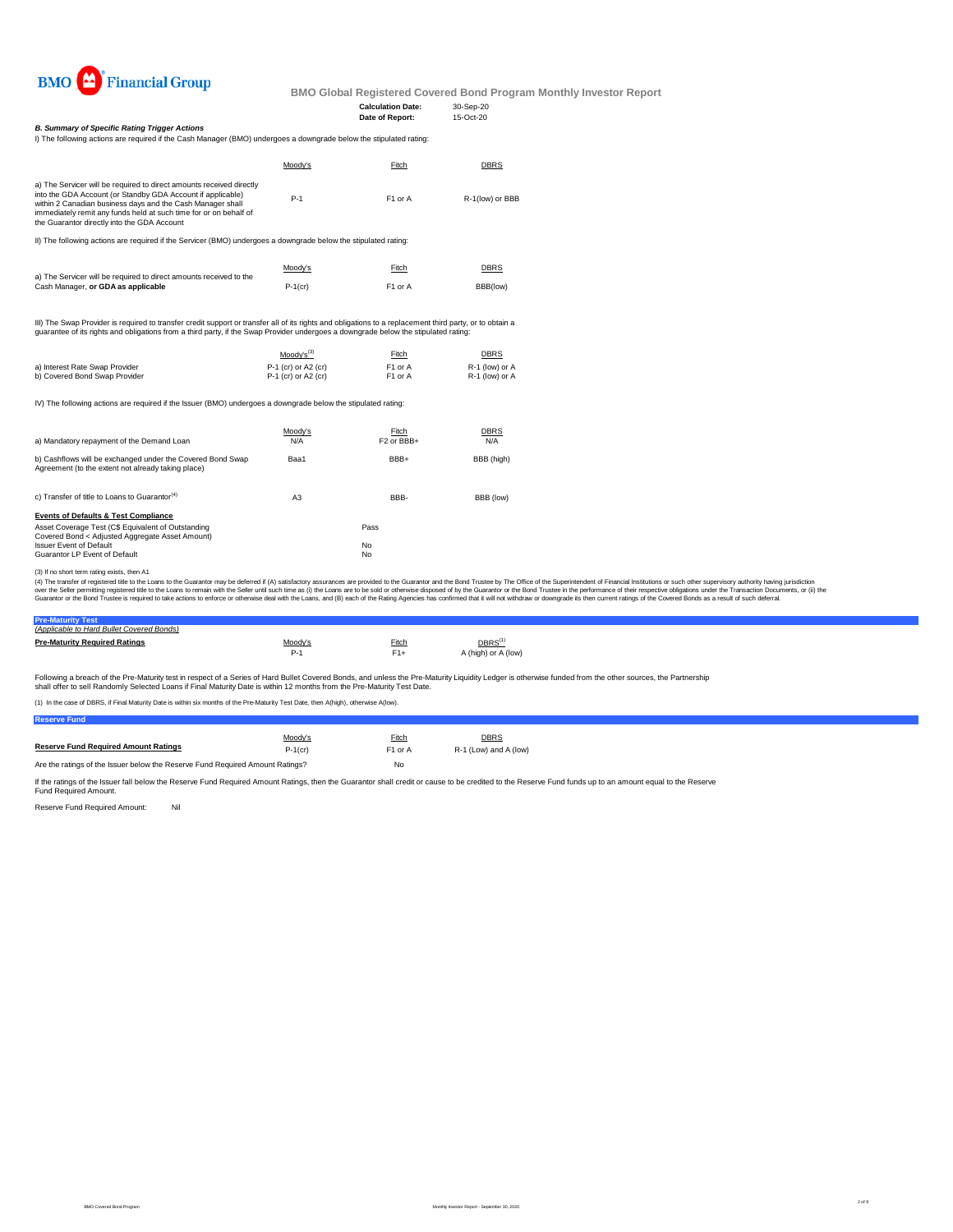

**BMO Global Registered Covered Bond Program Monthly Investor Report**

I) The following actions are required if the Cash Manager (BMO) undergoes a downgrade below the stipulated rating:

|                                | Moody's $^{(3)}$      | <u>Fitch</u>        | <b>DBRS</b>      |
|--------------------------------|-----------------------|---------------------|------------------|
| a) Interest Rate Swap Provider | $P-1$ (cr) or A2 (cr) | F <sub>1</sub> or A | $R-1$ (low) or A |
| b) Covered Bond Swap Provider  | $P-1$ (cr) or A2 (cr) | F1 or A             | $R-1$ (low) or A |

IV) The following actions are required if the Issuer (BMO) undergoes a downgrade below the stipulated rating:

If the ratings of the Issuer fall below the Reserve Fund Required Amount Ratings, then the Guarantor shall credit or cause to be credited to the Reserve Fund funds up to an amount equal to the Reserve Fund Required Amount.

Reserve Fund Required Amount: Nil

| c) Transfer of title to Loans to Guarantor <sup>(4)</sup> | A3 | BBB-      | BBB (low) |
|-----------------------------------------------------------|----|-----------|-----------|
| <b>Events of Defaults &amp; Test Compliance</b>           |    |           |           |
| Asset Coverage Test (C\$ Equivalent of Outstanding        |    | Pass      |           |
| Covered Bond < Adjusted Aggregate Asset Amount)           |    |           |           |
| <b>Issuer Event of Default</b>                            |    | <b>No</b> |           |
| <b>Guarantor LP Event of Default</b>                      |    | <b>No</b> |           |

| (Applicable to Hard Bullet Covered Bonds) |                |              |                                  |
|-------------------------------------------|----------------|--------------|----------------------------------|
| <b>Pre-Maturity Required Ratings</b>      | <u>Moody's</u> | <b>Fitch</b> | $\overline{\mathsf{DBRS}^{(1)}}$ |
|                                           | $P-1$          | $F1+$        | A (high) or A (low)              |
|                                           |                |              |                                  |

|                                                                                                                                                                                                                                                                                                                       | Moody's | Fitch               | <u>DBRS</u>     |
|-----------------------------------------------------------------------------------------------------------------------------------------------------------------------------------------------------------------------------------------------------------------------------------------------------------------------|---------|---------------------|-----------------|
| a) The Servicer will be required to direct amounts received directly<br>into the GDA Account (or Standby GDA Account if applicable)<br>within 2 Canadian business days and the Cash Manager shall<br>immediately remit any funds held at such time for or on behalf of<br>the Guarantor directly into the GDA Account | $P-1$   | F <sub>1</sub> or A | R-1(low) or BBB |

| a) Mandatory repayment of the Demand Loan                                                                        | Moody's | Fitch                             | <b>DBRS</b> |
|------------------------------------------------------------------------------------------------------------------|---------|-----------------------------------|-------------|
|                                                                                                                  | N/A     | F <sub>2</sub> or BB <sub>+</sub> | N/A         |
| b) Cashflows will be exchanged under the Covered Bond Swap<br>Agreement (to the extent not already taking place) | Baa1    | BBB+                              | BBB (high)  |

|                                                                    | <u>Moody's</u> | Fitch               | <b>DBRS</b> |
|--------------------------------------------------------------------|----------------|---------------------|-------------|
| a) The Servicer will be required to direct amounts received to the |                |                     |             |
| Cash Manager, or GDA as applicable                                 | $P-1$ (cr)     | F <sub>1</sub> or A | BBB(low)    |

III) The Swap Provider is required to transfer credit support or transfer all of its rights and obligations to a replacement third party, or to obtain a guarantee of its rights and obligations from a third party, if the Swap Provider undergoes a downgrade below the stipulated rating:

Following a breach of the Pre-Maturity test in respect of a Series of Hard Bullet Covered Bonds, and unless the Pre-Maturity Liquidity Ledger is otherwise funded from the other sources, the Partnership shall offer to sell Randomly Selected Loans if Final Maturity Date is within 12 months from the Pre-Maturity Test Date.

## *B. Summary of Specific Rating Trigger Actions*

II) The following actions are required if the Servicer (BMO) undergoes a downgrade below the stipulated rating:

(3) If no short term rating exists, then A1

(4) The transfer of registered title to the Loans to the Guarantor may be deferred if (A) satisfactory assurances are provided to the Guarantor and the Bond Trustee by The Office of the Superintendent of Financial Institut over the Seller permitting registered title to the Loans to remain with the Seller until such time as (i) the Loans are to be sold or otherwise disposed of by the Guarantor or the Bond Trustee in the performance of their r Guarantor or the Bond Trustee is required to take actions to enforce or otherwise deal with the Loans, and (B) each of the Rating Agencies has confirmed that it will not withdraw or downgrade its then current ratings of th

(1) In the case of DBRS, if Final Maturity Date is within six months of the Pre-Maturity Test Date, then A(high), otherwise A(low).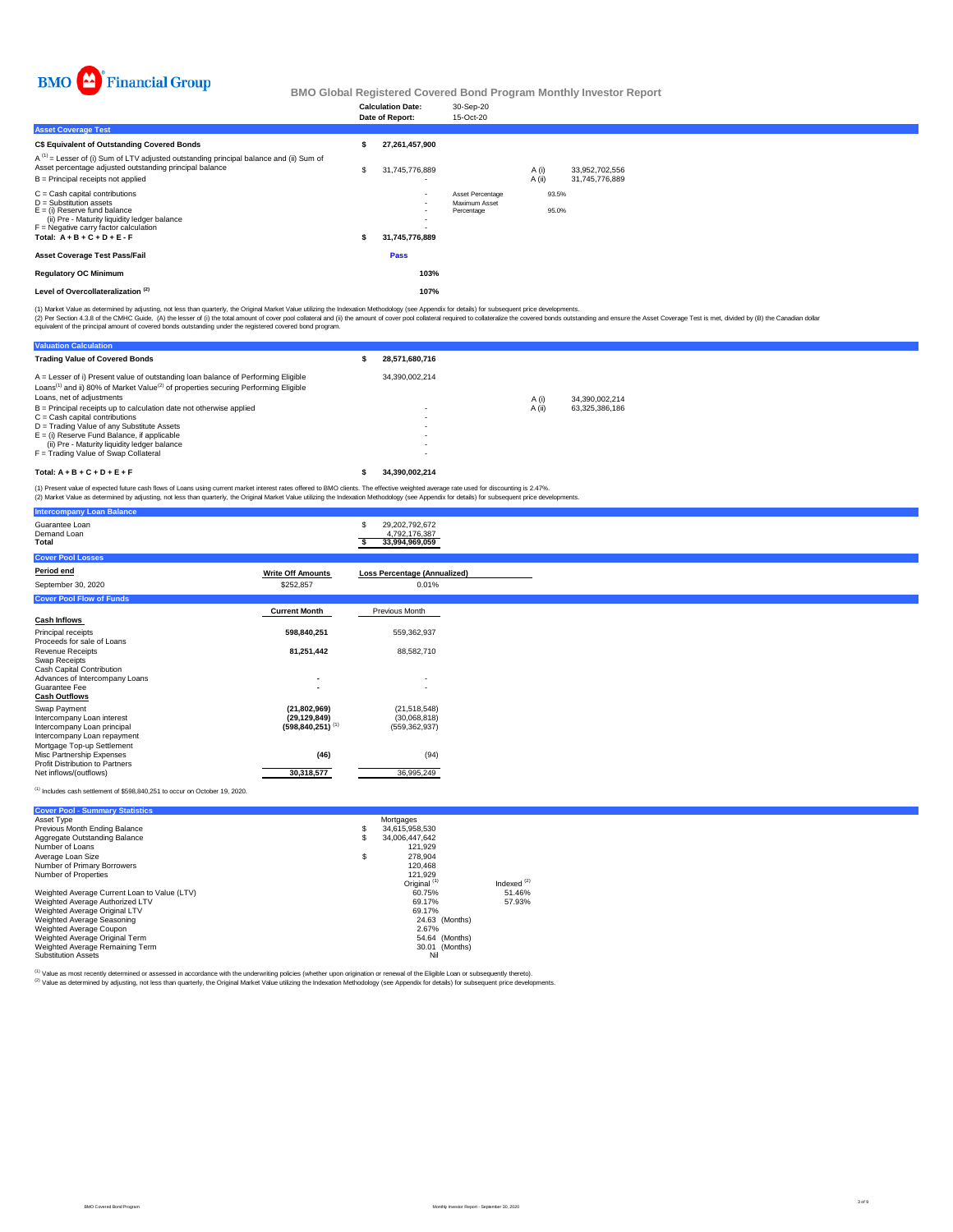

| <b>Intercompany Loan Balance</b>                                    |                                           |                                                         |
|---------------------------------------------------------------------|-------------------------------------------|---------------------------------------------------------|
| Guarantee Loan<br>Demand Loan<br><b>Total</b>                       |                                           | 29,202,792,672<br>S.<br>4,792,176,387<br>33,994,969,059 |
| <b>Cover Pool Losses</b>                                            |                                           |                                                         |
| <b>Period end</b>                                                   | <b>Write Off Amounts</b>                  | <b>Loss Percentage (Annualized)</b>                     |
| September 30, 2020                                                  | \$252,857                                 | 0.01%                                                   |
| <b>Cover Pool Flow of Funds</b>                                     |                                           |                                                         |
|                                                                     | <b>Current Month</b>                      | <b>Previous Month</b>                                   |
| <b>Cash Inflows</b>                                                 |                                           |                                                         |
| <b>Principal receipts</b><br>Proceeds for sale of Loans             | 598,840,251                               | 559,362,937                                             |
| <b>Revenue Receipts</b>                                             | 81,251,442                                | 88,582,710                                              |
| <b>Swap Receipts</b>                                                |                                           |                                                         |
| <b>Cash Capital Contribution</b><br>Advances of Intercompany Loans  | $\blacksquare$                            |                                                         |
| <b>Guarantee Fee</b>                                                | $\blacksquare$                            | $\sim$                                                  |
| <b>Cash Outflows</b>                                                |                                           |                                                         |
| <b>Swap Payment</b>                                                 | (21,802,969)                              | (21, 518, 548)                                          |
| Intercompany Loan interest<br>Intercompany Loan principal           | (29, 129, 849)<br>$(598, 840, 251)^{(1)}$ | (30,068,818)<br>(559, 362, 937)                         |
| Intercompany Loan repayment                                         |                                           |                                                         |
| Mortgage Top-up Settlement                                          |                                           |                                                         |
| Misc Partnership Expenses<br><b>Profit Distribution to Partners</b> | (46)                                      | (94)                                                    |
| Net inflows/(outflows)                                              | 30,318,577                                | 36,995,249                                              |

 $(1)$  Includes cash settlement of \$598,840,251 to occur on October 19, 2020.

| <b>Valuation Calculation</b>                                                                                                                                                                                                 |                |        |                |
|------------------------------------------------------------------------------------------------------------------------------------------------------------------------------------------------------------------------------|----------------|--------|----------------|
| <b>Trading Value of Covered Bonds</b>                                                                                                                                                                                        | 28,571,680,716 |        |                |
| A = Lesser of i) Present value of outstanding loan balance of Performing Eligible<br>Loans <sup>(1)</sup> and ii) 80% of Market Value <sup>(2)</sup> of properties securing Performing Eligible<br>Loans, net of adjustments | 34,390,002,214 |        | 34,390,002,214 |
|                                                                                                                                                                                                                              |                | A(i)   |                |
| $B =$ Principal receipts up to calculation date not otherwise applied<br>$C =$ Cash capital contributions                                                                                                                    |                | A (ii) | 63,325,386,186 |
| $D =$ Trading Value of any Substitute Assets                                                                                                                                                                                 |                |        |                |
| $E = (i)$ Reserve Fund Balance, if applicable                                                                                                                                                                                |                |        |                |
| (ii) Pre - Maturity liquidity ledger balance                                                                                                                                                                                 |                |        |                |
| F = Trading Value of Swap Collateral                                                                                                                                                                                         |                |        |                |
|                                                                                                                                                                                                                              |                |        |                |
| Total: $A + B + C + D + E + F$                                                                                                                                                                                               | 34,390,002,214 |        |                |

|                                                                                                                                                                                                                              | <b>Calculation Date:</b><br>Date of Report:                              | 30-Sep-20<br>15-Oct-20                                        |                |                                  |  |
|------------------------------------------------------------------------------------------------------------------------------------------------------------------------------------------------------------------------------|--------------------------------------------------------------------------|---------------------------------------------------------------|----------------|----------------------------------|--|
| <b>Asset Coverage Test</b>                                                                                                                                                                                                   |                                                                          |                                                               |                |                                  |  |
| <b>C\$ Equivalent of Outstanding Covered Bonds</b>                                                                                                                                                                           | 27,261,457,900                                                           |                                                               |                |                                  |  |
| $A^{(1)}$ = Lesser of (i) Sum of LTV adjusted outstanding principal balance and (ii) Sum of<br>Asset percentage adjusted outstanding principal balance<br>$B =$ Principal receipts not applied                               | \$<br>31,745,776,889                                                     |                                                               | A(i)<br>A(i)   | 33,952,702,556<br>31,745,776,889 |  |
| $C =$ Cash capital contributions<br>$D =$ Substitution assets<br>$E =$ (i) Reserve fund balance<br>(ii) Pre - Maturity liquidity ledger balance<br>$F =$ Negative carry factor calculation<br>Total: $A + B + C + D + E - F$ | $\sim$<br>$\sim$<br>$\overline{\phantom{a}}$<br>$\sim$<br>31,745,776,889 | <b>Asset Percentage</b><br><b>Maximum Asset</b><br>Percentage | 93.5%<br>95.0% |                                  |  |
| <b>Asset Coverage Test Pass/Fail</b>                                                                                                                                                                                         | <b>Pass</b>                                                              |                                                               |                |                                  |  |
| <b>Regulatory OC Minimum</b>                                                                                                                                                                                                 | 103%                                                                     |                                                               |                |                                  |  |
| Level of Overcollateralization <sup>(2)</sup>                                                                                                                                                                                | 107%                                                                     |                                                               |                |                                  |  |

| <b>Cover Pool - Summary Statistics</b>       |                         |               |
|----------------------------------------------|-------------------------|---------------|
| Asset Type                                   | Mortgages               |               |
| <b>Previous Month Ending Balance</b>         | 34,615,958,530          |               |
| <b>Aggregate Outstanding Balance</b>         | 34,006,447,642          |               |
| Number of Loans                              | 121,929                 |               |
| Average Loan Size                            | 278,904                 |               |
| <b>Number of Primary Borrowers</b>           | 120,468                 |               |
| <b>Number of Properties</b>                  | 121,929                 |               |
|                                              | Original <sup>(1)</sup> | Indexed $(2)$ |
| Weighted Average Current Loan to Value (LTV) | 60.75%                  | 51.46%        |
| Weighted Average Authorized LTV              | 69.17%                  | 57.93%        |
| <b>Weighted Average Original LTV</b>         | 69.17%                  |               |
| <b>Weighted Average Seasoning</b>            | 24.63 (Months)          |               |
| <b>Weighted Average Coupon</b>               | 2.67%                   |               |
| <b>Weighted Average Original Term</b>        | 54.64 (Months)          |               |
| Weighted Average Remaining Term              | 30.01 (Months)          |               |
| <b>Substitution Assets</b>                   | <b>Nil</b>              |               |

(1) Value as most recently determined or assessed in accordance with the underwriting policies (whether upon origination or renewal of the Eligible Loan or subsequently thereto).

<sup>(2)</sup> Value as determined by adjusting, not less than quarterly, the Original Market Value utilizing the Indexation Methodology (see Appendix for details) for subsequent price developments.

(1) Market Value as determined by adjusting, not less than quarterly, the Original Market Value utilizing the Indexation Methodology (see Appendix for details) for subsequent price developments.

(2) Per Section 4.3.8 of the CMHC Guide, (A) the lesser of (i) the total amount of cover pool collateral and (ii) the amount of cover pool collateral required to collateralize the covered bonds outstanding and ensure the A equivalent of the principal amount of covered bonds outstanding under the registered covered bond program.

(1) Present value of expected future cash flows of Loans using current market interest rates offered to BMO clients. The effective weighted average rate used for discounting is 2.47%.

(2) Market Value as determined by adjusting, not less than quarterly, the Original Market Value utilizing the Indexation Methodology (see Appendix for details) for subsequent price developments.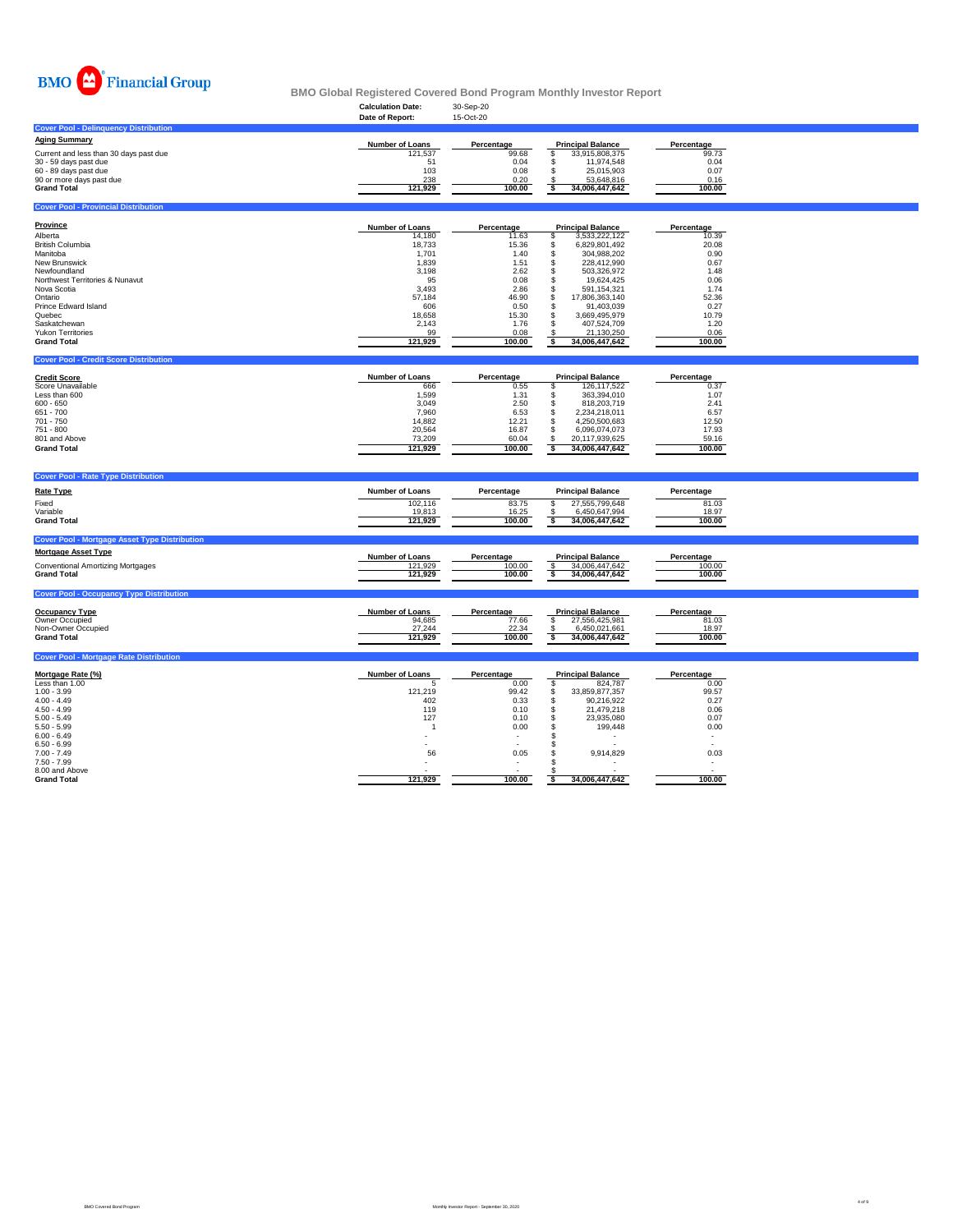

|                                              | <b>Calculation Date:</b> | 30-Sep-20         |                          |            |
|----------------------------------------------|--------------------------|-------------------|--------------------------|------------|
|                                              | Date of Report:          | 15-Oct-20         |                          |            |
| <b>Cover Pool - Delinguency Distribution</b> |                          |                   |                          |            |
| <b>Aging Summary</b>                         | <b>Number of Loans</b>   | <b>Percentage</b> | <b>Principal Balance</b> | Percentage |
| Current and less than 30 days past due       | 121,537                  | 99.68             | 33,915,808,375           | 99.73      |
| 30 - 59 days past due                        | 51                       | 0.04              | 11,974,548               | 0.04       |
| 60 - 89 days past due                        | 103                      | 0.08              | 25,015,903               | 0.07       |
| 90 or more days past due                     | 238                      | 0.20              | 53,648,816               | 0.16       |
| <b>Grand Total</b>                           | 121,929                  | 100.00            | 34,006,447,642           | 100.00     |

# **Cover Pool - Provincial Distribution**

## **Cover Pool - Credit Score Distribution**

# **Cover Pool - Rate Type Distribution**

| <b>Province</b>                            | <b>Number of Loans</b> | Percentage | <b>Principal Balance</b> | Percentage |
|--------------------------------------------|------------------------|------------|--------------------------|------------|
| Alberta                                    | 14,180                 | 11.63      | 3,533,222,122            | 10.39      |
| <b>British Columbia</b>                    | 18,733                 | 15.36      | 6,829,801,492            | 20.08      |
| Manitoba                                   | 1,701                  | 1.40       | 304,988,202              | 0.90       |
| <b>New Brunswick</b>                       | 1,839                  | 1.51       | 228,412,990              | 0.67       |
| Newfoundland                               | 3,198                  | 2.62       | 503,326,972              | 1.48       |
| <b>Northwest Territories &amp; Nunavut</b> | 95                     | 0.08       | 19,624,425               | 0.06       |
| Nova Scotia                                | 3,493                  | 2.86       | 591,154,321              | 1.74       |
| Ontario                                    | 57,184                 | 46.90      | 17,806,363,140           | 52.36      |
| <b>Prince Edward Island</b>                | 606                    | 0.50       | 91,403,039               | 0.27       |
| Quebec                                     | 18,658                 | 15.30      | 3,669,495,979            | 10.79      |
| Saskatchewan                               | 2,143                  | 1.76       | 407,524,709              | 1.20       |
| <b>Yukon Territories</b>                   | 99                     | 0.08       | 21,130,250               | 0.06       |
| <b>Grand Total</b>                         | 121,929                | 100.00     | 34,006,447,642           | 100.00     |

| <b>Rate Type</b>                                     | <b>Number of Loans</b> | Percentage | <b>Principal Balance</b> | Percentage |  |
|------------------------------------------------------|------------------------|------------|--------------------------|------------|--|
| Fixed                                                | 102,116                | 83.75      | 27,555,799,648           | 81.03      |  |
| Variable                                             | 19,813                 | 16.25      | 6,450,647,994            | 18.97      |  |
| <b>Grand Total</b>                                   | 121,929                | 100.00     | 34,006,447,642           | 100.00     |  |
| <b>Cover Pool - Mortgage Asset Type Distribution</b> |                        |            |                          |            |  |
| <b>Mortgage Asset Type</b>                           | <b>Number of Loans</b> | Percentage | <b>Principal Balance</b> | Percentage |  |
| <b>Conventional Amortizing Mortgages</b>             | 121,929                | 100.00     | 34,006,447,642           | 100.00     |  |
| <b>Grand Total</b>                                   | 121,929                | 100.00     | 34,006,447,642           | 100.00     |  |
| <b>Cover Pool - Occupancy Type Distribution</b>      |                        |            |                          |            |  |
|                                                      |                        |            |                          |            |  |

| <b>Credit Score</b>      | <b>Number of Loans</b> | <b>Percentage</b> | <b>Principal Balance</b> | <b>Percentage</b> |
|--------------------------|------------------------|-------------------|--------------------------|-------------------|
| <b>Score Unavailable</b> | 666                    | 0.55              | 126,117,522              | 0.37              |
| Less than 600            | 1,599                  | 1.31              | 363,394,010              | 1.07              |
| $600 - 650$              | 3,049                  | 2.50              | 818,203,719              | 2.41              |
| 651 - 700                | 7,960                  | 6.53              | 2,234,218,011            | 6.57              |
| 701 - 750                | 14,882                 | 12.21             | 4,250,500,683            | 12.50             |
| 751 - 800                | 20,564                 | 16.87             | 6,096,074,073            | 17.93             |
| 801 and Above            | 73,209                 | 60.04             | 20,117,939,625           | 59.16             |
| <b>Grand Total</b>       | 121,929                | 100.00            | 34,006,447,642           | 100.00            |

| Percentage |                                                                | <b>Principal Balance</b> | <b>Percentage</b> |
|------------|----------------------------------------------------------------|--------------------------|-------------------|
|            |                                                                | 27,556,425,981           | טט ו כ            |
|            |                                                                | 661,661,021,661          | 18.97             |
|            |                                                                | 34,006,447,642           | 100.00            |
|            | <b>Number of Loans</b><br>94,685<br>27,244<br>22.34<br>121,929 | 77.66<br>100.00          |                   |

# **Cover Pool - Mortgage Rate Distribution**

| <u>Mortgage Rate (%)</u> | <b>Number of Loans</b> | Percentage | <b>Principal Balance</b> | <b>Percentage</b> |
|--------------------------|------------------------|------------|--------------------------|-------------------|
| Less than 1.00           |                        | 0.00       | 824,787                  | 0.00              |
| $1.00 - 3.99$            | 121,219                | 99.42      | 33,859,877,357           | 99.57             |
| $4.00 - 4.49$            | 402                    | 0.33       | 90,216,922               | 0.27              |
| $4.50 - 4.99$            | 119                    | 0.10       | 21,479,218               | 0.06              |
| $5.00 - 5.49$            | 127                    | 0.10       | 23,935,080               | 0.07              |
| $5.50 - 5.99$            |                        | 0.00       | 199,448                  | 0.00              |
| $6.00 - 6.49$            |                        | $\sim$     |                          |                   |
| $6.50 - 6.99$            |                        | $\sim$     |                          |                   |
| $7.00 - 7.49$            | 56                     | 0.05       | 9,914,829                | 0.03              |
| $7.50 - 7.99$            |                        | $\sim$     |                          |                   |
| 8.00 and Above           |                        |            |                          |                   |
| <b>Grand Total</b>       | 121,929                | 100.00     | 34,006,447,642           | 100.00            |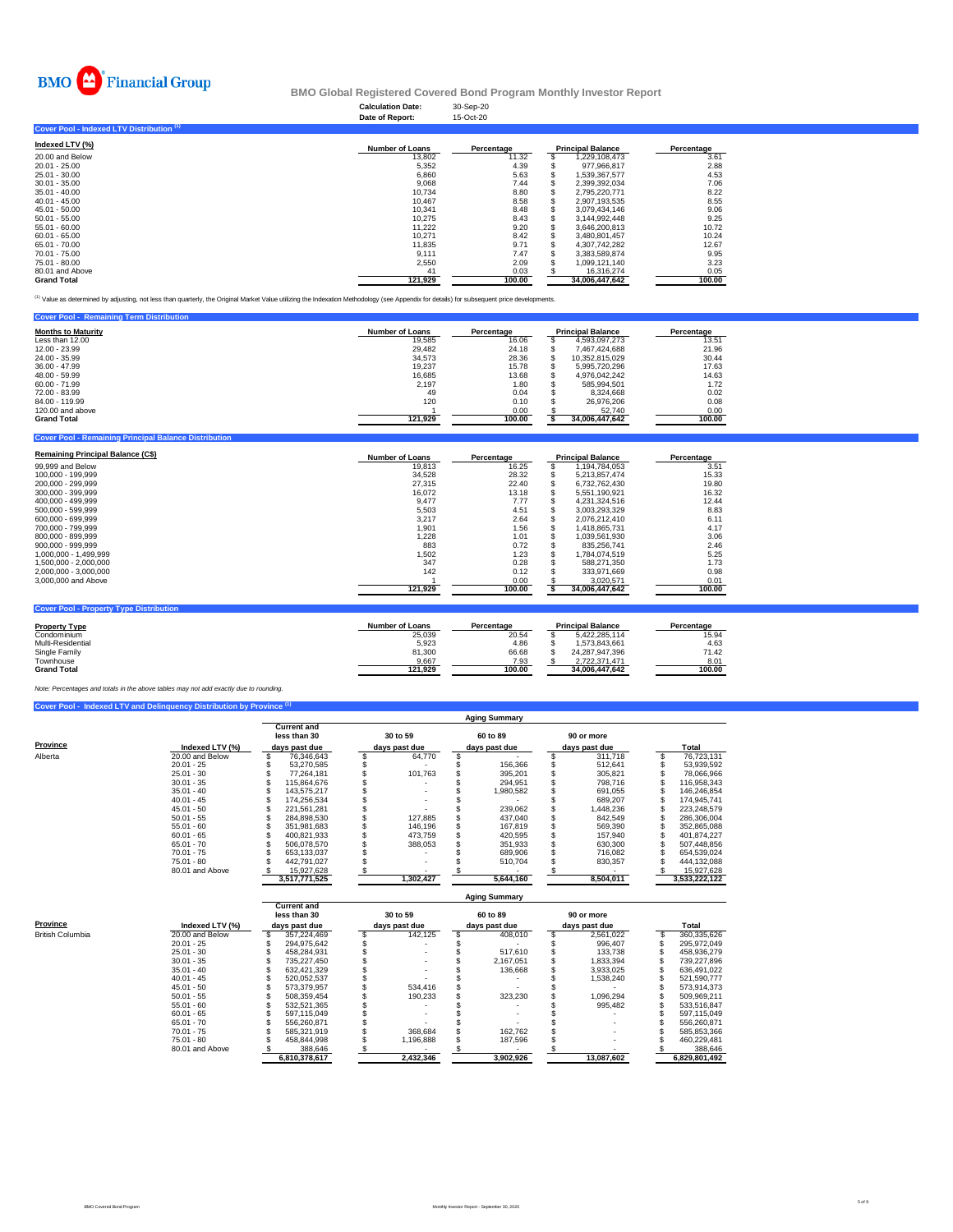|                                                  | <b>Calculation Date:</b><br>Date of Report: | 30-Sep-20<br>15-Oct-20 |                          |                   |
|--------------------------------------------------|---------------------------------------------|------------------------|--------------------------|-------------------|
| <b>Cover Pool - Indexed LTV Distribution (1)</b> |                                             |                        |                          |                   |
| Indexed LTV (%)                                  | <b>Number of Loans</b>                      | <b>Percentage</b>      | <b>Principal Balance</b> | <b>Percentage</b> |
| 20.00 and Below                                  | 13.802                                      | 11.32                  | 1.229.108.473            |                   |



|                    |         | . <b>.</b> . | - ---- <b>--</b> ----------- | . <u>.</u> . |
|--------------------|---------|--------------|------------------------------|--------------|
| 20.00 and Below    | 13,802  | 11.32        | 1,229,108,473                | 3.61         |
| 20.01 - 25.00      | 5,352   | 4.39         | 977,966,817                  | 2.88         |
| 25.01 - 30.00      | 6,860   | 5.63         | 1,539,367,577                | 4.53         |
| $30.01 - 35.00$    | 9,068   | 7.44         | 2,399,392,034                | 7.06         |
| $35.01 - 40.00$    | 10,734  | 8.80         | 2,795,220,771                | 8.22         |
| 40.01 - 45.00      | 10,467  | 8.58         | 2,907,193,535                | 8.55         |
| 45.01 - 50.00      | 10,341  | 8.48         | 3,079,434,146                | 9.06         |
| $50.01 - 55.00$    | 10,275  | 8.43         | 3,144,992,448                | 9.25         |
| 55.01 - 60.00      | 11,222  | 9.20         | 3,646,200,813                | 10.72        |
| $60.01 - 65.00$    | 10,271  | 8.42         | 3,480,801,457                | 10.24        |
| 65.01 - 70.00      | 11,835  | 9.71         | 4,307,742,282                | 12.67        |
| 70.01 - 75.00      | 9,111   | 7.47         | 3,383,589,874                | 9.95         |
| 75.01 - 80.00      | 2,550   | 2.09         | 1,099,121,140                | 3.23         |
| 80.01 and Above    | 41      | 0.03         | 16,316,274                   | 0.05         |
| <b>Grand Total</b> | 121,929 | 100.00       | 34,006,447,642               | 100.00       |

<sup>(1)</sup> Value as determined by adjusting, not less than quarterly, the Original Market Value utilizing the Indexation Methodology (see Appendix for details) for subsequent price developments.

| <b>Cover Pool - Remaining Term Distribution</b> |                        |            |                          |            |
|-------------------------------------------------|------------------------|------------|--------------------------|------------|
| <b>Months to Maturity</b>                       | <b>Number of Loans</b> | Percentage | <b>Principal Balance</b> | Percentage |
| Less than 12.00                                 | 19,585                 | 16.06      | 4,593,097,273            | 13.51      |
| 12.00 - 23.99                                   | 29,482                 | 24.18      | 7,467,424,688            | 21.96      |
| 24.00 - 35.99                                   | 34,573                 | 28.36      | 10,352,815,029           | 30.44      |
| 36.00 - 47.99                                   | 19,237                 | 15.78      | 5,995,720,296            | 17.63      |
| 48.00 - 59.99                                   | 16,685                 | 13.68      | 4,976,042,242            | 14.63      |
| 60.00 - 71.99                                   | 2,197                  | 1.80       | 585,994,501              | 1.72       |
| 72.00 - 83.99                                   | 49                     | 0.04       | 8,324,668                | 0.02       |
| 84.00 - 119.99                                  | 120                    | 0.10       | 26,976,206               | 0.08       |
| 120.00 and above                                |                        | 0.00       | 52,740                   | 0.00       |
| <b>Grand Total</b>                              | 121,929                | 100.00     | 34,006,447,642           | 100.00     |

## **Cover Pool - Remaining Principal Balance Distribution**

| <b>Remaining Principal Balance (C\$)</b> | <b>Number of Loans</b> | <b>Percentage</b> | <b>Principal Balance</b> | <b>Percentage</b> |
|------------------------------------------|------------------------|-------------------|--------------------------|-------------------|
| 99,999 and Below                         | 19,813                 | 16.25             | ,194,784,053             | $3.5^\circ$       |
| 100,000 - 199,999                        | 34,528                 | 28.32             | 5,213,857,474            | 15.33             |
| 200,000 - 299,999                        | 27,315                 | 22.40             | 6,732,762,430            | 19.80             |

| 300,000 - 399,999     | 16,072  | 13.18  | 5,551,190,921  | 16.32  |
|-----------------------|---------|--------|----------------|--------|
| 400,000 - 499,999     | 9,477   | 7.77   | 4,231,324,516  | 12.44  |
| 500,000 - 599,999     | 5,503   | 4.51   | 3,003,293,329  | 8.83   |
| 600,000 - 699,999     | 3,217   | 2.64   | 2,076,212,410  | 6.11   |
| 700,000 - 799,999     | 1,901   | 1.56   | 1,418,865,731  | 4.17   |
| 800,000 - 899,999     | 1,228   | 1.01   | 1,039,561,930  | 3.06   |
| $900,000 - 999,999$   | 883     | 0.72   | 835,256,741    | 2.46   |
| 1,000,000 - 1,499,999 | 1,502   | 1.23   | 1,784,074,519  | 5.25   |
| 1,500,000 - 2,000,000 | 347     | 0.28   | 588,271,350    | 1.73   |
| 2,000,000 - 3,000,000 | 142     | 0.12   | 333,971,669    | 0.98   |
| 3,000,000 and Above   |         | 0.00   | 3,020,571      | 0.01   |
|                       | 121,929 | 100.00 | 34,006,447,642 | 100.00 |
|                       |         |        |                |        |

# **Cover Pool - Property Type Distribution**

| <b>Property Type</b> | <b>Number of Loans</b> | <b>Percentage</b> | <b>Principal Balance</b> | <b>Percentage</b> |
|----------------------|------------------------|-------------------|--------------------------|-------------------|
| Condominium          | 25,039                 | 20.54             | 5,422,285,114            | 15.94             |
| Multi-Residential    | 5,923                  | 4.86              | .573,843,661             | 4.63              |
| <b>Single Family</b> | 81,300                 | 66.68             | 24,287,947,396           | 71.42             |
| Townhouse            | 9,667                  | 7.93              | 2,722,371,471            | 8.01              |
| <b>Grand Total</b>   | 121,929                | 100.00            | 34,006,447,642           | 100.00            |

# **Cover Pool - Indexed LTV and Delinquency Distribution by Province (1)**

|                 |                    | <b>Aging Summary</b> |                                    |  |               |  |               |  |               |  |               |  |  |
|-----------------|--------------------|----------------------|------------------------------------|--|---------------|--|---------------|--|---------------|--|---------------|--|--|
|                 |                    |                      | <b>Current and</b><br>less than 30 |  | 30 to 59      |  | 60 to 89      |  | 90 or more    |  |               |  |  |
| <b>Province</b> | Indexed LTV $(\%)$ |                      | days past due                      |  | days past due |  | days past due |  | days past due |  | <b>Total</b>  |  |  |
| Alberta         | 20.00 and Below    |                      | 76,346,643                         |  | 64,770        |  |               |  | 311,718       |  | 76,723,131    |  |  |
|                 | $20.01 - 25$       |                      | 53,270,585                         |  |               |  | 156,366       |  | 512,641       |  | 53,939,592    |  |  |
|                 | $25.01 - 30$       |                      | 77,264,181                         |  | 101,763       |  | 395,201       |  | 305,821       |  | 78,066,966    |  |  |
|                 | $30.01 - 35$       |                      | 115,864,676                        |  |               |  | 294,951       |  | 798,716       |  | 116,958,343   |  |  |
|                 | $35.01 - 40$       |                      | 143,575,217                        |  |               |  | 1,980,582     |  | 691,055       |  | 146,246,854   |  |  |
|                 | $40.01 - 45$       |                      | 174,256,534                        |  |               |  |               |  | 689,207       |  | 174,945,741   |  |  |
|                 | $45.01 - 50$       |                      | 221,561,281                        |  |               |  | 239,062       |  | 1,448,236     |  | 223,248,579   |  |  |
|                 | $50.01 - 55$       |                      | 284,898,530                        |  | 127,885       |  | 437,040       |  | 842,549       |  | 286,306,004   |  |  |
|                 | $55.01 - 60$       |                      | 351,981,683                        |  | 146,196       |  | 167,819       |  | 569,390       |  | 352,865,088   |  |  |
|                 | $60.01 - 65$       |                      | 400,821,933                        |  | 473,759       |  | 420,595       |  | 157,940       |  | 401,874,227   |  |  |
|                 | $65.01 - 70$       |                      | 506,078,570                        |  | 388,053       |  | 351,933       |  | 630,300       |  | 507,448,856   |  |  |
|                 | $70.01 - 75$       |                      | 653,133,037                        |  |               |  | 689,906       |  | 716,082       |  | 654,539,024   |  |  |
|                 | 75.01 - 80         |                      | 442,791,027                        |  |               |  | 510,704       |  | 830,357       |  | 444,132,088   |  |  |
|                 | 80.01 and Above    |                      | 15,927,628                         |  |               |  |               |  |               |  | 15,927,628    |  |  |
|                 |                    |                      | 3,517,771,525                      |  | 1,302,427     |  | 5,644,160     |  | 8,504,011     |  | 3,533,222,122 |  |  |

|                         |                                      |                                                     |               |                           |                           | <b>Aging Summary</b> |                             |                          |               |
|-------------------------|--------------------------------------|-----------------------------------------------------|---------------|---------------------------|---------------------------|----------------------|-----------------------------|--------------------------|---------------|
| <b>Province</b>         | Indexed LTV $(%)$<br>20.00 and Below | <b>Current and</b><br>less than 30<br>days past due |               | 30 to 59<br>days past due | 60 to 89<br>days past due |                      | 90 or more<br>days past due |                          | <b>Total</b>  |
| <b>British Columbia</b> |                                      |                                                     | 357,224,469   | 142,125                   |                           | 408,010              |                             | 2,561,022                | 360,335,626   |
|                         | $20.01 - 25$                         |                                                     | 294,975,642   |                           |                           |                      |                             | 996,407                  | 295,972,049   |
|                         | $25.01 - 30$                         |                                                     | 458,284,931   |                           |                           | 517,610              |                             | 133,738                  | 458,936,279   |
|                         | $30.01 - 35$                         |                                                     | 735,227,450   |                           |                           | 2,167,051            |                             | 1,833,394                | 739,227,896   |
|                         | $35.01 - 40$                         |                                                     | 632,421,329   |                           |                           | 136,668              |                             | 3,933,025                | 636,491,022   |
|                         | $40.01 - 45$                         |                                                     | 520,052,537   |                           |                           |                      |                             | 1,538,240                | 521,590,777   |
|                         | $45.01 - 50$                         |                                                     | 573,379,957   | 534,416                   |                           |                      |                             |                          | 573,914,373   |
|                         | $50.01 - 55$                         |                                                     | 508,359,454   | 190,233                   |                           | 323,230              |                             | 1,096,294                | 509,969,211   |
|                         | $55.01 - 60$                         |                                                     | 532,521,365   |                           |                           |                      |                             | 995,482                  | 533,516,847   |
|                         | $60.01 - 65$                         |                                                     | 597,115,049   |                           |                           |                      |                             |                          | 597,115,049   |
|                         | $65.01 - 70$                         |                                                     | 556,260,871   |                           |                           |                      |                             |                          | 556,260,871   |
|                         | $70.01 - 75$                         |                                                     | 585,321,919   | 368,684                   |                           | 162,762              |                             |                          | 585,853,366   |
|                         | $75.01 - 80$                         |                                                     | 458,844,998   | 1,196,888                 |                           | 187,596              |                             | $\overline{\phantom{0}}$ | 460,229,481   |
|                         | 80.01 and Above                      |                                                     | 388,646       |                           |                           |                      |                             |                          | 388,646       |
|                         |                                      |                                                     | 6,810,378,617 | 2,432,346                 |                           | 3,902,926            |                             | 13,087,602               | 6,829,801,492 |

*Note: Percentages and totals in the above tables may not add exactly due to rounding.*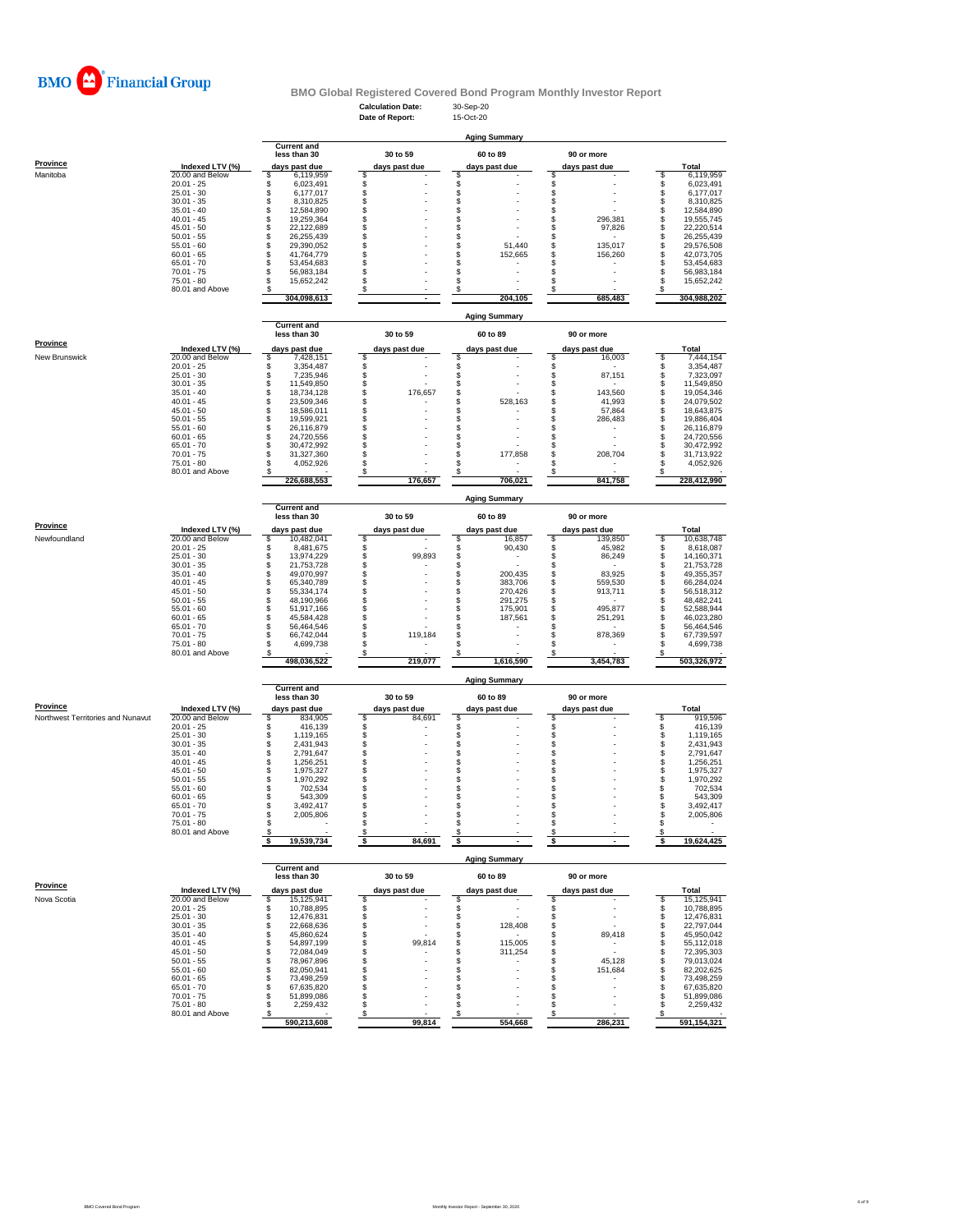

# **BMO Global Registered Covered Bond Program Monthly Investor Report**

**Current and**

**Prov** 

|                      |                 | less than 30  | 30 to 59      | 60 to 89      | 90 or more    |             |
|----------------------|-----------------|---------------|---------------|---------------|---------------|-------------|
| <b>Province</b>      | Indexed LTV (%) | days past due | days past due | days past due | days past due | Total       |
| <b>New Brunswick</b> | 20.00 and Below | 7,428,151     |               |               | 16,003        | 7,444,154   |
|                      | $20.01 - 25$    | 3,354,487     |               |               |               | 3,354,487   |
|                      | $25.01 - 30$    | 7,235,946     |               |               | 87,151        | 7,323,097   |
|                      | $30.01 - 35$    | 11,549,850    |               |               |               | 11,549,850  |
|                      | $35.01 - 40$    | 18,734,128    | 176,657       |               | 143,560       | 19,054,346  |
|                      | $40.01 - 45$    | 23,509,346    |               | 528,163       | 41,993        | 24,079,502  |
|                      | $45.01 - 50$    | 18,586,011    |               |               | 57,864        | 18,643,875  |
|                      | $50.01 - 55$    | 19,599,921    |               |               | 286,483       | 19,886,404  |
|                      | $55.01 - 60$    | 26,116,879    |               |               |               | 26,116,879  |
|                      | $60.01 - 65$    | 24,720,556    |               |               |               | 24,720,556  |
|                      | $65.01 - 70$    | 30,472,992    |               |               |               | 30,472,992  |
|                      | $70.01 - 75$    | 31,327,360    |               | 177,858       | 208,704       | 31,713,922  |
|                      | $75.01 - 80$    | 4,052,926     |               |               |               | 4,052,926   |
|                      | 80.01 and Above |               |               |               |               |             |
|                      |                 | 226,688,553   | 176,657       | 706,021       | 841,758       | 228,412,990 |

|                 |                 | <b>Aging Summary</b> |                                    |               |          |               |          |               |            |              |             |  |  |
|-----------------|-----------------|----------------------|------------------------------------|---------------|----------|---------------|----------|---------------|------------|--------------|-------------|--|--|
|                 |                 |                      | <b>Current and</b><br>less than 30 |               | 30 to 59 |               | 60 to 89 |               | 90 or more |              |             |  |  |
| <b>Province</b> | Indexed LTV (%) | days past due        |                                    | days past due |          | days past due |          | days past due |            | <b>Total</b> |             |  |  |
| Manitoba        | 20.00 and Below |                      | 6,119,959                          |               |          |               |          |               |            |              | 6,119,959   |  |  |
|                 | $20.01 - 25$    |                      | 6,023,491                          |               |          |               |          |               |            |              | 6,023,491   |  |  |
|                 | $25.01 - 30$    |                      | 6,177,017                          |               |          |               |          |               |            |              | 6,177,017   |  |  |
|                 | $30.01 - 35$    |                      | 8,310,825                          |               |          |               |          |               |            |              | 8,310,825   |  |  |
|                 | $35.01 - 40$    |                      | 12,584,890                         |               |          |               |          |               |            |              | 12,584,890  |  |  |
|                 | $40.01 - 45$    |                      | 19,259,364                         |               |          |               |          |               | 296,381    |              | 19,555,745  |  |  |
|                 | $45.01 - 50$    |                      | 22,122,689                         |               |          |               |          |               | 97,826     |              | 22,220,514  |  |  |
|                 | $50.01 - 55$    |                      | 26,255,439                         |               |          |               |          |               |            |              | 26,255,439  |  |  |
|                 | $55.01 - 60$    |                      | 29,390,052                         |               |          |               | 51,440   |               | 135,017    |              | 29,576,508  |  |  |
|                 | $60.01 - 65$    |                      | 41,764,779                         |               |          |               | 152,665  |               | 156,260    |              | 42,073,705  |  |  |
|                 | $65.01 - 70$    |                      | 53,454,683                         |               |          |               |          |               |            |              | 53,454,683  |  |  |
|                 | $70.01 - 75$    |                      | 56,983,184                         |               |          |               |          |               |            |              | 56,983,184  |  |  |
|                 | 75.01 - 80      |                      | 15,652,242                         |               |          |               |          |               |            |              | 15,652,242  |  |  |
|                 | 80.01 and Above |                      |                                    |               |          |               |          |               |            |              |             |  |  |
|                 |                 |                      | 304,098,613                        |               |          |               | 204,105  |               | 685,483    |              | 304,988,202 |  |  |

|                                          |                 | <b>Current and</b><br>less than 30 |               | 30 to 59 |               | 60 to 89                 |               | 90 or more               |              |
|------------------------------------------|-----------------|------------------------------------|---------------|----------|---------------|--------------------------|---------------|--------------------------|--------------|
| <b>Province</b>                          | Indexed LTV (%) | days past due                      | days past due |          | days past due |                          | days past due |                          | <b>Total</b> |
| <b>Northwest Territories and Nunavut</b> | 20.00 and Below | 834,905                            |               | 84,691   |               |                          |               |                          | 919,596      |
|                                          | $20.01 - 25$    | 416,139                            |               |          |               |                          |               |                          | 416,139      |
|                                          | $25.01 - 30$    | 1,119,165                          |               |          |               |                          |               | $\blacksquare$           | 1,119,165    |
|                                          | $30.01 - 35$    | 2,431,943                          |               |          |               |                          |               | $\blacksquare$           | 2,431,943    |
|                                          | $35.01 - 40$    | 2,791,647                          |               |          |               |                          |               | $\blacksquare$           | 2,791,647    |
|                                          | $40.01 - 45$    | 1,256,251                          |               |          |               |                          |               | $\overline{\phantom{a}}$ | 1,256,251    |
|                                          | $45.01 - 50$    | 1,975,327                          |               |          |               |                          |               | $\overline{\phantom{a}}$ | 1,975,327    |
|                                          | $50.01 - 55$    | 1,970,292                          |               |          |               |                          |               |                          | 1,970,292    |
|                                          | $55.01 - 60$    | 702,534                            |               |          |               |                          |               |                          | 702,534      |
|                                          | $60.01 - 65$    | 543,309                            |               |          |               |                          |               | $\overline{\phantom{0}}$ | 543,309      |
|                                          | $65.01 - 70$    | 3,492,417                          |               |          |               |                          |               | $\blacksquare$           | 3,492,417    |
|                                          | $70.01 - 75$    | 2,005,806                          |               |          |               |                          |               | $\overline{\phantom{a}}$ | 2,005,806    |
|                                          | 75.01 - 80      |                                    |               |          |               |                          |               | $\overline{\phantom{0}}$ |              |
|                                          | 80.01 and Above |                                    |               |          |               | $\overline{\phantom{a}}$ |               | $\blacksquare$           |              |
|                                          |                 | 19,539,734                         |               | 84,691   |               | $\sim$                   |               |                          | 19,624,425   |

|                 |                 |                                                     |             |               |          | <b>Aging Summary</b> |               |             |
|-----------------|-----------------|-----------------------------------------------------|-------------|---------------|----------|----------------------|---------------|-------------|
|                 |                 | <b>Current and</b><br>less than 30<br>days past due |             |               | 30 to 59 | 60 to 89             | 90 or more    |             |
| <b>Province</b> | Indexed LTV (%) |                                                     |             | days past due |          | days past due        | days past due | Total       |
| Newfoundland    | 20.00 and Below |                                                     | 10,482,041  |               |          | 16,857               | 139,850       | 10,638,748  |
|                 | $20.01 - 25$    |                                                     | 8,481,675   |               |          | 90,430               | 45,982        | 8,618,087   |
|                 | $25.01 - 30$    |                                                     | 13,974,229  |               | 99,893   |                      | 86,249        | 14,160,371  |
|                 | $30.01 - 35$    |                                                     | 21,753,728  |               |          |                      |               | 21,753,728  |
|                 | $35.01 - 40$    |                                                     | 49,070,997  |               |          | 200,435              | 83,925        | 49,355,357  |
|                 | $40.01 - 45$    |                                                     | 65,340,789  |               |          | 383,706              | 559,530       | 66,284,024  |
|                 | $45.01 - 50$    |                                                     | 55,334,174  |               |          | 270,426              | 913,711       | 56,518,312  |
|                 | $50.01 - 55$    |                                                     | 48,190,966  |               |          | 291,275              |               | 48,482,241  |
|                 | $55.01 - 60$    |                                                     | 51,917,166  |               |          | 175,901              | 495,877       | 52,588,944  |
|                 | $60.01 - 65$    |                                                     | 45,584,428  |               |          | 187,561              | 251,291       | 46,023,280  |
|                 | $65.01 - 70$    |                                                     | 56,464,546  |               |          |                      |               | 56,464,546  |
|                 | $70.01 - 75$    |                                                     | 66,742,044  |               | 119,184  |                      | 878,369       | 67,739,597  |
|                 | 75.01 - 80      |                                                     | 4,699,738   |               |          |                      |               | 4,699,738   |
|                 | 80.01 and Above |                                                     |             |               |          |                      |               |             |
|                 |                 |                                                     | 498,036,522 |               | 219,077  | 1,616,590            | 3,454,783     | 503,326,972 |

|                 |                 | <b>Current and</b><br>less than 30 | 30 to 59                 | 60 to 89      | 90 or more    |              |
|-----------------|-----------------|------------------------------------|--------------------------|---------------|---------------|--------------|
| <b>Province</b> | Indexed LTV (%) | days past due                      | days past due            | days past due | days past due | <b>Total</b> |
| Nova Scotia     | 20.00 and Below | 15,125,941                         |                          |               |               | 15,125,941   |
|                 | $20.01 - 25$    | 10,788,895                         |                          |               |               | 10,788,895   |
|                 | $25.01 - 30$    | 12,476,831                         |                          |               |               | 12,476,831   |
|                 | $30.01 - 35$    | 22,668,636                         | $\overline{\phantom{0}}$ | 128,408       |               | 22,797,044   |
|                 | $35.01 - 40$    | 45,860,624                         |                          |               | 89,418        | 45,950,042   |
|                 | $40.01 - 45$    | 54,897,199                         | 99,814                   | 115,005       |               | 55,112,018   |
|                 | $45.01 - 50$    | 72,084,049                         |                          | 311,254       |               | 72,395,303   |
|                 | $50.01 - 55$    | 78,967,896                         |                          |               | 45,128        | 79,013,024   |
|                 | $55.01 - 60$    | 82,050,941                         |                          |               | 151,684       | 82,202,625   |
|                 | $60.01 - 65$    | 73,498,259                         |                          |               |               | 73,498,259   |
|                 | $65.01 - 70$    | 67,635,820                         |                          |               |               | 67,635,820   |
|                 | $70.01 - 75$    | 51,899,086                         |                          |               |               | 51,899,086   |
|                 | 75.01 - 80      | 2,259,432                          |                          |               |               | 2,259,432    |
|                 | 80.01 and Above |                                    |                          |               |               |              |
|                 |                 | 590,213,608                        | 99,814                   | 554,668       | 286,231       | 591,154,321  |

**Aging Summary**

# **Aging Summary**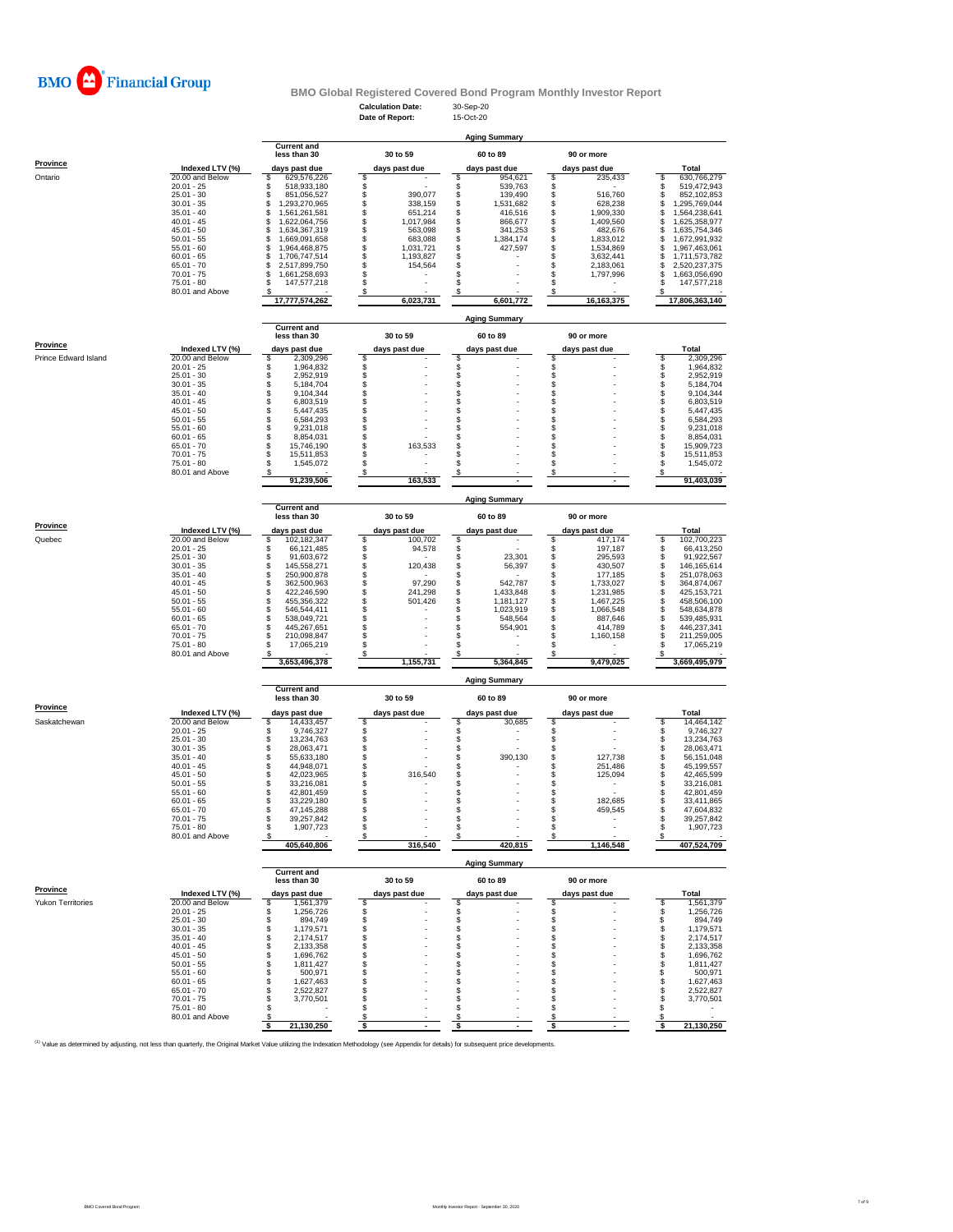

# **BMO Global Registered Covered Bond Program Monthly Investor Report**

25.01 - 30 \$ \$ 894,749 \$ - \$ - \$ - \$ 5 894,749 30.01 - 35 \$ 1,179,571 \$ - \$ - \$ - \$ 1,179,571 35.01 - 40 \$ 2,174,517 \$ - \$ - \$ - \$ 2,174,517 40.01 - 45 \$ 2,133,358 \$ - \$ - \$ - \$ 2,133,358 45.01 - 50 \$ 1,696,762 \$ - \$ - \$ - \$ 1,696,762 50.01 - 55 \$ 1,811,427 \$ - \$ - \$ - \$ 1,811,427 55.01 - 60 \$ 500,971 \$ - \$ - \$ - \$ 500,971

<sup>(1)</sup> Value as determined by adjusting, not less than quarterly, the Original Market Value utilizing the Indexation Methodology (see Appendix for details) for subsequent price developments.

|                 |                 | <b>Aging Summary</b>               |               |           |  |               |  |               |  |                |  |  |  |  |
|-----------------|-----------------|------------------------------------|---------------|-----------|--|---------------|--|---------------|--|----------------|--|--|--|--|
|                 |                 | <b>Current and</b><br>less than 30 |               | 30 to 59  |  | 60 to 89      |  | 90 or more    |  |                |  |  |  |  |
| <b>Province</b> | Indexed LTV (%) | days past due                      | days past due |           |  | days past due |  | days past due |  | <b>Total</b>   |  |  |  |  |
| Ontario         | 20.00 and Below | 629,576,226                        |               |           |  | 954,621       |  | 235,433       |  | 630,766,279    |  |  |  |  |
|                 | $20.01 - 25$    | 518,933,180                        |               |           |  | 539,763       |  |               |  | 519,472,943    |  |  |  |  |
|                 | $25.01 - 30$    | 851,056,527                        |               | 390,077   |  | 139,490       |  | 516,760       |  | 852,102,853    |  |  |  |  |
|                 | $30.01 - 35$    | ,293,270,965                       |               | 338,159   |  | 1,531,682     |  | 628,238       |  | ,295,769,044   |  |  |  |  |
|                 | $35.01 - 40$    | ,561,261,581                       |               | 651,214   |  | 416,516       |  | 1,909,330     |  | ,564,238,641   |  |  |  |  |
|                 | $40.01 - 45$    | ,622,064,756                       |               | 1,017,984 |  | 866,677       |  | 1,409,560     |  | ,625,358,977   |  |  |  |  |
|                 | $45.01 - 50$    | 634,367,319                        |               | 563,098   |  | 341,253       |  | 482,676       |  | ,635,754,346   |  |  |  |  |
|                 | $50.01 - 55$    | .669,091,658                       |               | 683,088   |  | 1,384,174     |  | 1,833,012     |  | 672,991,932    |  |  |  |  |
|                 | $55.01 - 60$    | ,964,468,875                       |               | 1,031,721 |  | 427,597       |  | 1,534,869     |  | ,967,463,061   |  |  |  |  |
|                 | $60.01 - 65$    | ,706,747,514                       |               | 193,827   |  |               |  | 3,632,441     |  | ,711,573,782   |  |  |  |  |
|                 | $65.01 - 70$    | 2,517,899,750                      |               | 154,564   |  |               |  | 2,183,061     |  | 2,520,237,375  |  |  |  |  |
|                 | $70.01 - 75$    | 661,258,693                        |               |           |  |               |  | 1,797,996     |  | ,663,056,690   |  |  |  |  |
|                 | 75.01 - 80      | 147,577,218                        |               |           |  |               |  |               |  | 147,577,218    |  |  |  |  |
|                 | 80.01 and Above |                                    |               |           |  |               |  |               |  |                |  |  |  |  |
|                 |                 | 17,777,574,262                     |               | 6,023,731 |  | 6,601,772     |  | 16, 163, 375  |  | 17,806,363,140 |  |  |  |  |

|                             |                                 | <b>Current and</b>                 |               |                      |               |                                           |
|-----------------------------|---------------------------------|------------------------------------|---------------|----------------------|---------------|-------------------------------------------|
|                             |                                 | less than 30                       | 30 to 59      | 60 to 89             | 90 or more    |                                           |
| <b>Province</b>             | Indexed LTV (%)                 | days past due                      | days past due | days past due        | days past due | <b>Total</b>                              |
| <b>Prince Edward Island</b> | 20.00 and Below                 | 2,309,296                          |               |                      |               | 2,309,296                                 |
|                             | $20.01 - 25$                    | 1,964,832                          |               |                      |               | 1,964,832                                 |
|                             | $25.01 - 30$                    | 2,952,919                          |               |                      |               | 2,952,919                                 |
|                             | $30.01 - 35$                    | 5,184,704                          |               |                      |               | 5,184,704                                 |
|                             | $35.01 - 40$                    | 9,104,344                          |               |                      |               | 9,104,344                                 |
|                             | $40.01 - 45$                    | 6,803,519                          |               |                      |               | 6,803,519                                 |
|                             | $45.01 - 50$                    | 5,447,435                          |               |                      |               | 5,447,435                                 |
|                             | $50.01 - 55$                    | 6,584,293                          |               |                      |               | 6,584,293                                 |
|                             | $55.01 - 60$                    | 9,231,018                          |               |                      |               | 9,231,018                                 |
|                             | $60.01 - 65$                    | 8,854,031                          |               |                      |               | 8,854,031                                 |
|                             | $65.01 - 70$                    |                                    | 163,533       |                      |               | 15,909,723                                |
|                             | $70.01 - 75$                    | 15,746,190                         |               |                      |               | 15,511,853                                |
|                             | $75.01 - 80$                    | 15,511,853                         |               |                      |               |                                           |
|                             |                                 | 1,545,072                          |               |                      |               | 1,545,072                                 |
|                             | 80.01 and Above                 |                                    |               |                      |               |                                           |
|                             |                                 | 91,239,506                         | 163,533       |                      |               | 91,403,039                                |
|                             |                                 |                                    |               | <b>Aging Summary</b> |               |                                           |
|                             |                                 | <b>Current and</b><br>less than 30 | 30 to 59      | 60 to 89             | 90 or more    |                                           |
| <b>Province</b>             | Indexed LTV (%)                 |                                    |               |                      |               |                                           |
|                             | 20.00 and Below                 | days past due                      | days past due | days past due<br>\$. | days past due | <b>Total</b>                              |
| Quebec                      | $20.01 - 25$                    | 102,182,347                        | 100,702       |                      | 417,174       | $\boldsymbol{\mathcal{S}}$<br>102,700,223 |
|                             |                                 | 66,121,485                         | 94,578        |                      | 197,187       | 66,413,250                                |
|                             | $25.01 - 30$                    | 91,603,672                         |               | 23,301               | 295,593       | 91,922,567                                |
|                             | $30.01 - 35$                    | 145,558,271                        | 120,438       | 56,397               | 430,507       | 146, 165, 614                             |
|                             | $35.01 - 40$                    | 250,900,878                        |               |                      | 177,185       | 251,078,063                               |
|                             | $40.01 - 45$                    | 362,500,963                        | 97,290        | 542,787              | 1,733,027     | 364,874,067                               |
|                             | $45.01 - 50$                    | 422,246,590                        | 241,298       | 1,433,848            | 1,231,985     | 425, 153, 721                             |
|                             | $50.01 - 55$                    | 455,356,322                        | 501,426       | 1,181,127            | 1,467,225     | 458,506,100                               |
|                             | $55.01 - 60$                    | 546,544,411                        |               | 1,023,919            | 1,066,548     | 548,634,878                               |
|                             | $60.01 - 65$                    | 538,049,721                        |               | 548,564              | 887,646       | 539,485,931                               |
|                             | $65.01 - 70$                    | 445,267,651                        |               | 554,901              | 414,789       | 446,237,341                               |
|                             | $70.01 - 75$                    | 210,098,847                        |               |                      | 1,160,158     | 211,259,005                               |
|                             | $75.01 - 80$                    | 17,065,219                         |               |                      |               | 17,065,219                                |
|                             | 80.01 and Above                 |                                    |               |                      |               |                                           |
|                             |                                 | 3,653,496,378                      | 1,155,731     | 5,364,845            | 9,479,025     | 3,669,495,979                             |
|                             |                                 |                                    |               | <b>Aging Summary</b> |               |                                           |
|                             |                                 | <b>Current and</b><br>less than 30 | 30 to 59      | 60 to 89             | 90 or more    |                                           |
| <b>Province</b>             |                                 |                                    |               |                      |               |                                           |
|                             | Indexed LTV (%)                 | days past due                      | days past due | days past due        | days past due | <b>Total</b>                              |
| Saskatchewan                | 20.00 and Below                 | 14,433,457                         |               | 30,685               |               | 14,464,142                                |
|                             | $20.01 - 25$                    | 9,746,327                          |               |                      |               | 9,746,327                                 |
|                             | $25.01 - 30$                    | 13,234,763                         |               |                      |               | 13,234,763                                |
|                             | $30.01 - 35$                    | 28,063,471                         |               |                      |               | 28,063,471                                |
|                             | $35.01 - 40$                    | 55,633,180                         |               | 390,130              | 127,738       | 56, 151, 048                              |
|                             | $40.01 - 45$                    | 44,948,071                         |               |                      | 251,486       | 45,199,557                                |
|                             | $45.01 - 50$                    | 42,023,965                         | 316,540       |                      | 125,094       | 42,465,599                                |
|                             | $50.01 - 55$                    | 33,216,081                         |               |                      |               | 33,216,081                                |
|                             | $55.01 - 60$                    | 42,801,459                         |               |                      |               | 42,801,459                                |
|                             | $60.01 - 65$                    | 33,229,180                         |               |                      | 182,685       | 33,411,865                                |
|                             | $65.01 - 70$                    | 47,145,288                         |               |                      | 459,545       | 47,604,832                                |
|                             | $70.01 - 75$                    | 39,257,842                         |               |                      |               | 39,257,842                                |
|                             | $75.01 - 80$                    | 1,907,723                          |               |                      |               | 1,907,723                                 |
|                             | 80.01 and Above                 |                                    |               |                      |               |                                           |
|                             |                                 | 405,640,806                        | 316,540       | 420,815              | 1,146,548     | 407,524,709                               |
|                             |                                 |                                    |               | <b>Aging Summary</b> |               |                                           |
|                             |                                 | <b>Current and</b><br>less than 30 | 30 to 59      | 60 to 89             | 90 or more    |                                           |
| <b>Province</b>             |                                 |                                    |               |                      |               |                                           |
|                             | Indexed LTV (%)                 | days past due                      | days past due | days past due        | days past due | <b>Total</b>                              |
| <b>Yukon Territories</b>    | 20.00 and Below<br>$20.01 - 25$ | 1,561,379                          |               |                      |               | 1,561,379                                 |
|                             |                                 | ,256,726                           |               |                      |               | 1,256,726                                 |

|                 | 21,130,250 |        |     |  | 21,130,250 |
|-----------------|------------|--------|-----|--|------------|
| 80.01 and Above |            |        |     |  |            |
| $75.01 - 80$    |            | $\sim$ | . . |  |            |
| $70.01 - 75$    | 3,770,501  |        |     |  | 3,770,501  |
| $65.01 - 70$    | 2,522,827  |        |     |  | 2,522,827  |
| $60.01 - 65$    | 627,463,   |        |     |  | 1,627,463  |

**Aging Summary**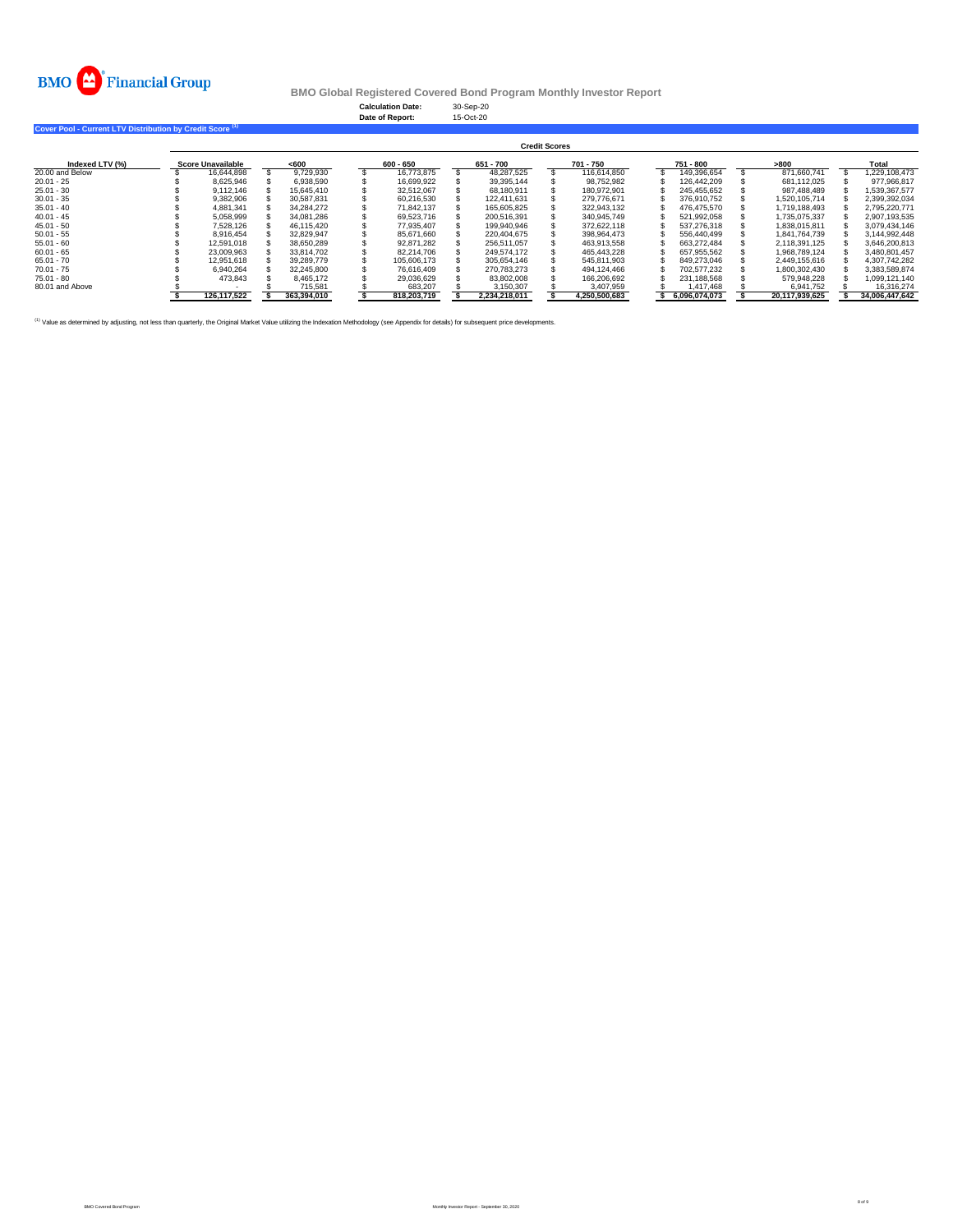

**BMO Global Registered Covered Bond Program Monthly Investor Report**

# **Cover Pool - Current LTV Distribution by Credit Score (1)**

|                 | <b>Credit Scores</b> |                          |  |             |  |             |  |               |  |               |  |               |  |                |  |                |
|-----------------|----------------------|--------------------------|--|-------------|--|-------------|--|---------------|--|---------------|--|---------------|--|----------------|--|----------------|
| Indexed LTV (%) |                      | <b>Score Unavailable</b> |  | $600$       |  | $600 - 650$ |  | 651 - 700     |  | 701 - 750     |  | 751 - 800     |  | >800           |  | <b>Total</b>   |
| 20.00 and Below |                      | 16,644,898               |  | 9,729,930   |  | 16,773,875  |  | 48,287,525    |  | 116,614,850   |  | 149,396,654   |  | 871,660,741    |  | ,229,108,473   |
| $20.01 - 25$    |                      | 8,625,946                |  | 6,938,590   |  | 16,699,922  |  | 39,395,144    |  | 98,752,982    |  | 126,442,209   |  | 681,112,025    |  | 977,966,817    |
| $25.01 - 30$    |                      | 9,112,146                |  | 15,645,410  |  | 32,512,067  |  | 68,180,911    |  | 180,972,901   |  | 245,455,652   |  | 987,488,489    |  | 1,539,367,577  |
| $30.01 - 35$    |                      | 9,382,906                |  | 30,587,831  |  | 60,216,530  |  | 122,411,631   |  | 279,776,671   |  | 376,910,752   |  | 1,520,105,714  |  | 2,399,392,034  |
| $35.01 - 40$    |                      | 4,881,341                |  | 34,284,272  |  | 71,842,137  |  | 165,605,825   |  | 322,943,132   |  | 476,475,570   |  | 1,719,188,493  |  | 2,795,220,771  |
| 40.01 - 45      |                      | 5,058,999                |  | 34,081,286  |  | 69,523,716  |  | 200,516,391   |  | 340,945,749   |  | 521,992,058   |  | 1,735,075,337  |  | 2,907,193,535  |
| 45.01 - 50      |                      | 7,528,126                |  | 46,115,420  |  | 77,935,407  |  | 199,940,946   |  | 372,622,118   |  | 537,276,318   |  | 1,838,015,811  |  | 3,079,434,146  |
| $50.01 - 55$    |                      | 8,916,454                |  | 32,829,947  |  | 85,671,660  |  | 220,404,675   |  | 398,964,473   |  | 556,440,499   |  | 1,841,764,739  |  | 3,144,992,448  |
| $55.01 - 60$    |                      | 12,591,018               |  | 38,650,289  |  | 92,871,282  |  | 256,511,057   |  | 463,913,558   |  | 663,272,484   |  | 2,118,391,125  |  | 3,646,200,813  |
| $60.01 - 65$    |                      | 23,009,963               |  | 33,814,702  |  | 82,214,706  |  | 249,574,172   |  | 465,443,228   |  | 657,955,562   |  | 1,968,789,124  |  | 3,480,801,457  |
| $65.01 - 70$    |                      | 12,951,618               |  | 39,289,779  |  | 105,606,173 |  | 305,654,146   |  | 545,811,903   |  | 849,273,046   |  | 2,449,155,616  |  | 4,307,742,282  |
| 70.01 - 75      |                      | 6,940,264                |  | 32,245,800  |  | 76,616,409  |  | 270,783,273   |  | 494,124,466   |  | 702,577,232   |  | 1,800,302,430  |  | 3,383,589,874  |
| 75.01 - 80      |                      | 473,843                  |  | 8,465,172   |  | 29,036,629  |  | 83,802,008    |  | 166,206,692   |  | 231,188,568   |  | 579,948,228    |  | ,099,121,140   |
| 80.01 and Above |                      |                          |  | 715,581     |  | 683,207     |  | 3,150,307     |  | 3,407,959     |  | 1,417,468     |  | 6,941,752      |  | 16,316,274     |
|                 |                      | 126,117,522              |  | 363,394,010 |  | 818,203,719 |  | 2,234,218,011 |  | 4,250,500,683 |  | 6,096,074,073 |  | 20,117,939,625 |  | 34,006,447,642 |

<sup>(1)</sup> Value as determined by adjusting, not less than quarterly, the Original Market Value utilizing the Indexation Methodology (see Appendix for details) for subsequent price developments.